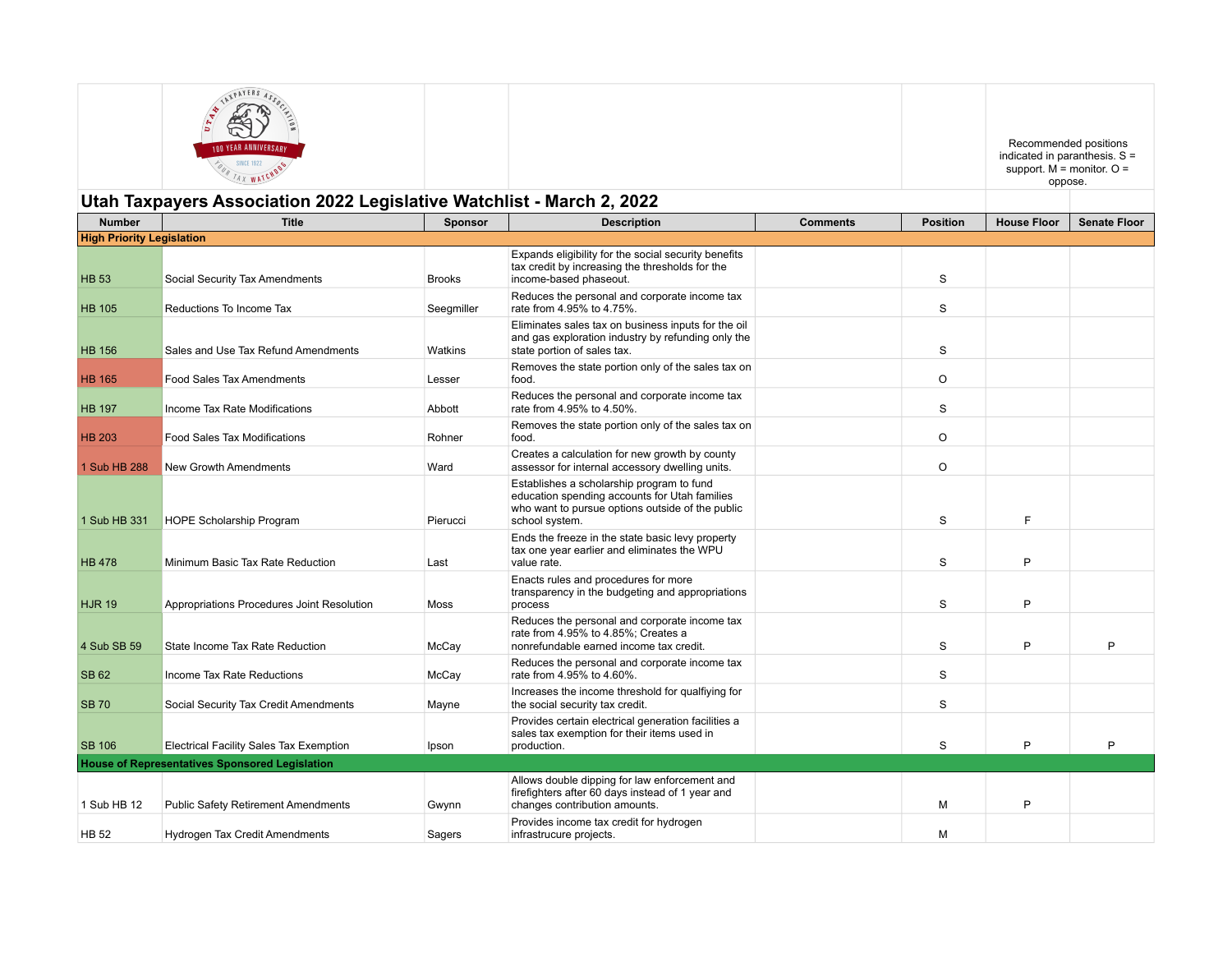| <b>IND YEAR ANNIVERSARY</b>                                           |  | Recommended positions<br>indicated in paranthesis. $S =$<br>support. $M =$ monitor. $Q =$<br>oppose. |  |
|-----------------------------------------------------------------------|--|------------------------------------------------------------------------------------------------------|--|
| Jtah Taxpayers Association 2022 Legislative Watchlist - March 2, 2022 |  |                                                                                                      |  |

## **Utah Taxpayers Association 2022 Legislative Watchlist - March 2, 2022**

| <b>Number</b>                    | <b>Title</b>                                          | <b>Sponsor</b> | <b>Description</b>                                                                                                                                               | <b>Comments</b> | <b>Position</b> | <b>House Floor</b> | <b>Senate Floor</b> |
|----------------------------------|-------------------------------------------------------|----------------|------------------------------------------------------------------------------------------------------------------------------------------------------------------|-----------------|-----------------|--------------------|---------------------|
| <b>High Priority Legislation</b> |                                                       |                |                                                                                                                                                                  |                 |                 |                    |                     |
| <b>HB 53</b>                     | Social Security Tax Amendments                        | <b>Brooks</b>  | Expands eligibility for the social security benefits<br>tax credit by increasing the thresholds for the<br>income-based phaseout.                                |                 | S               |                    |                     |
| <b>HB 105</b>                    | Reductions To Income Tax                              | Seegmiller     | Reduces the personal and corporate income tax<br>rate from 4.95% to 4.75%.                                                                                       |                 | S               |                    |                     |
| <b>HB 156</b>                    | Sales and Use Tax Refund Amendments                   | Watkins        | Eliminates sales tax on business inputs for the oil<br>and gas exploration industry by refunding only the<br>state portion of sales tax.                         |                 | S               |                    |                     |
| <b>HB 165</b>                    | Food Sales Tax Amendments                             | Lesser         | Removes the state portion only of the sales tax on<br>food.                                                                                                      |                 | $\circ$         |                    |                     |
| <b>HB 197</b>                    | Income Tax Rate Modifications                         | Abbott         | Reduces the personal and corporate income tax<br>rate from 4.95% to 4.50%.                                                                                       |                 | S               |                    |                     |
| <b>HB 203</b>                    | <b>Food Sales Tax Modifications</b>                   | Rohner         | Removes the state portion only of the sales tax on<br>food.                                                                                                      |                 | O               |                    |                     |
| 1 Sub HB 288                     | New Growth Amendments                                 | Ward           | Creates a calculation for new growth by county<br>assessor for internal accessory dwelling units.                                                                |                 | O               |                    |                     |
| 1 Sub HB 331                     | <b>HOPE Scholarship Program</b>                       | Pierucci       | Establishes a scholarship program to fund<br>education spending accounts for Utah families<br>who want to pursue options outside of the public<br>school system. |                 | S               | F                  |                     |
| <b>HB 478</b>                    | Minimum Basic Tax Rate Reduction                      | Last           | Ends the freeze in the state basic levy property<br>tax one year earlier and eliminates the WPU<br>value rate.                                                   |                 | S               | P                  |                     |
| <b>HJR 19</b>                    | Appropriations Procedures Joint Resolution            | Moss           | Enacts rules and procedures for more<br>transparency in the budgeting and appropriations<br>process                                                              |                 | S               | P                  |                     |
| 4 Sub SB 59                      | State Income Tax Rate Reduction                       | McCay          | Reduces the personal and corporate income tax<br>rate from 4.95% to 4.85%; Creates a<br>nonrefundable earned income tax credit.                                  |                 | S               | P                  | P                   |
| <b>SB 62</b>                     | Income Tax Rate Reductions                            | McCay          | Reduces the personal and corporate income tax<br>rate from 4.95% to 4.60%.                                                                                       |                 | S               |                    |                     |
| <b>SB 70</b>                     | Social Security Tax Credit Amendments                 | Mayne          | Increases the income threshold for qualfiying for<br>the social security tax credit.                                                                             |                 | S               |                    |                     |
| <b>SB 106</b>                    | Electrical Facility Sales Tax Exemption               | Ipson          | Provides certain electrical generation facilities a<br>sales tax exemption for their items used in<br>production.                                                |                 | S               | P                  | P                   |
|                                  | <b>House of Representatives Sponsored Legislation</b> |                |                                                                                                                                                                  |                 |                 |                    |                     |
|                                  |                                                       |                | Allows double dipping for law enforcement and                                                                                                                    |                 |                 |                    |                     |
| 1 Sub HB 12                      | <b>Public Safety Retirement Amendments</b>            | Gwynn          | firefighters after 60 days instead of 1 year and<br>changes contribution amounts.                                                                                |                 | М               | P                  |                     |
| <b>HB 52</b>                     | <b>Hydrogen Tax Credit Amendments</b>                 | Sagers         | Provides income tax credit for hydrogen<br>infrastrucure projects.                                                                                               |                 | М               |                    |                     |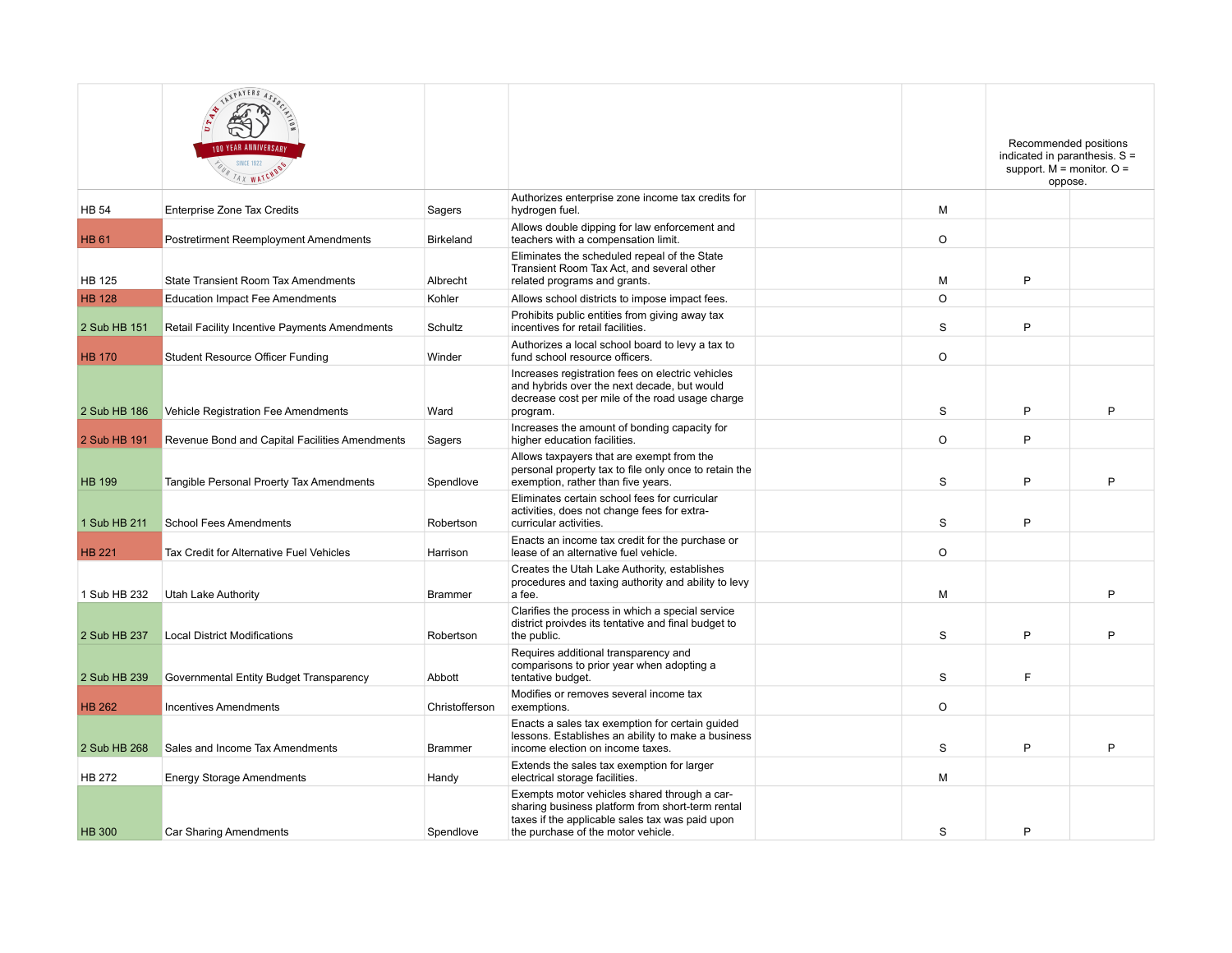|               | ATINTERS ASSOCI<br><b>OO YEAR ANNIVERSAR</b><br><b>SINCE 1922</b><br>FOUR TAX WATCHOOS |                |                                                                                                                                                                                           |             | Recommended positions<br>indicated in paranthesis. $S =$<br>support. $M =$ monitor. $O =$<br>oppose. |   |
|---------------|----------------------------------------------------------------------------------------|----------------|-------------------------------------------------------------------------------------------------------------------------------------------------------------------------------------------|-------------|------------------------------------------------------------------------------------------------------|---|
| <b>HB 54</b>  | Enterprise Zone Tax Credits                                                            | Sagers         | Authorizes enterprise zone income tax credits for<br>hydrogen fuel.                                                                                                                       | м           |                                                                                                      |   |
| <b>HB 61</b>  | <b>Postretirment Reemployment Amendments</b>                                           | Birkeland      | Allows double dipping for law enforcement and<br>teachers with a compensation limit.                                                                                                      | $\circ$     |                                                                                                      |   |
| <b>HB 125</b> | <b>State Transient Room Tax Amendments</b>                                             | Albrecht       | Eliminates the scheduled repeal of the State<br>Transient Room Tax Act, and several other<br>related programs and grants.                                                                 | M           | P                                                                                                    |   |
| <b>HB 128</b> | <b>Education Impact Fee Amendments</b>                                                 | Kohler         | Allows school districts to impose impact fees.                                                                                                                                            | $\Omega$    |                                                                                                      |   |
| 2 Sub HB 151  | Retail Facility Incentive Payments Amendments                                          | Schultz        | Prohibits public entities from giving away tax<br>incentives for retail facilities.                                                                                                       | S           | P                                                                                                    |   |
| <b>HB 170</b> | <b>Student Resource Officer Funding</b>                                                | Winder         | Authorizes a local school board to levy a tax to<br>fund school resource officers.                                                                                                        | O           |                                                                                                      |   |
| 2 Sub HB 186  | Vehicle Registration Fee Amendments                                                    | Ward           | Increases registration fees on electric vehicles<br>and hybrids over the next decade, but would<br>decrease cost per mile of the road usage charge<br>program.                            | $\mathbf S$ | P                                                                                                    | P |
| 2 Sub HB 191  | Revenue Bond and Capital Facilities Amendments                                         | Sagers         | Increases the amount of bonding capacity for<br>higher education facilities.                                                                                                              | $\circ$     | P                                                                                                    |   |
| <b>HB 199</b> | Tangible Personal Proerty Tax Amendments                                               | Spendlove      | Allows taxpayers that are exempt from the<br>personal property tax to file only once to retain the<br>exemption, rather than five years.                                                  | $\mathbf S$ | P                                                                                                    | P |
| 1 Sub HB 211  | <b>School Fees Amendments</b>                                                          | Robertson      | Eliminates certain school fees for curricular<br>activities, does not change fees for extra-<br>curricular activities.                                                                    | S           | P                                                                                                    |   |
| <b>HB 221</b> | Tax Credit for Alternative Fuel Vehicles                                               | Harrison       | Enacts an income tax credit for the purchase or<br>lease of an alternative fuel vehicle.                                                                                                  | O           |                                                                                                      |   |
| 1 Sub HB 232  | Utah Lake Authority                                                                    | <b>Brammer</b> | Creates the Utah Lake Authority, establishes<br>procedures and taxing authority and ability to levy<br>a fee.                                                                             | М           |                                                                                                      | P |
| 2 Sub HB 237  | <b>Local District Modifications</b>                                                    | Robertson      | Clarifies the process in which a special service<br>district proivdes its tentative and final budget to<br>the public.                                                                    | S           | P                                                                                                    | P |
| 2 Sub HB 239  | Governmental Entity Budget Transparency                                                | Abbott         | Requires additional transparency and<br>comparisons to prior year when adopting a<br>tentative budget.                                                                                    | S           | F                                                                                                    |   |
| <b>HB 262</b> | <b>Incentives Amendments</b>                                                           | Christofferson | Modifies or removes several income tax<br>exemptions.                                                                                                                                     | $\circ$     |                                                                                                      |   |
| 2 Sub HB 268  | Sales and Income Tax Amendments                                                        | <b>Brammer</b> | Enacts a sales tax exemption for certain guided<br>lessons. Establishes an ability to make a business<br>income election on income taxes.                                                 | S           | P                                                                                                    | P |
| <b>HB 272</b> | <b>Energy Storage Amendments</b>                                                       | Handy          | Extends the sales tax exemption for larger<br>electrical storage facilities.                                                                                                              | м           |                                                                                                      |   |
| <b>HB 300</b> | Car Sharing Amendments                                                                 | Spendlove      | Exempts motor vehicles shared through a car-<br>sharing business platform from short-term rental<br>taxes if the applicable sales tax was paid upon<br>the purchase of the motor vehicle. | S           | P                                                                                                    |   |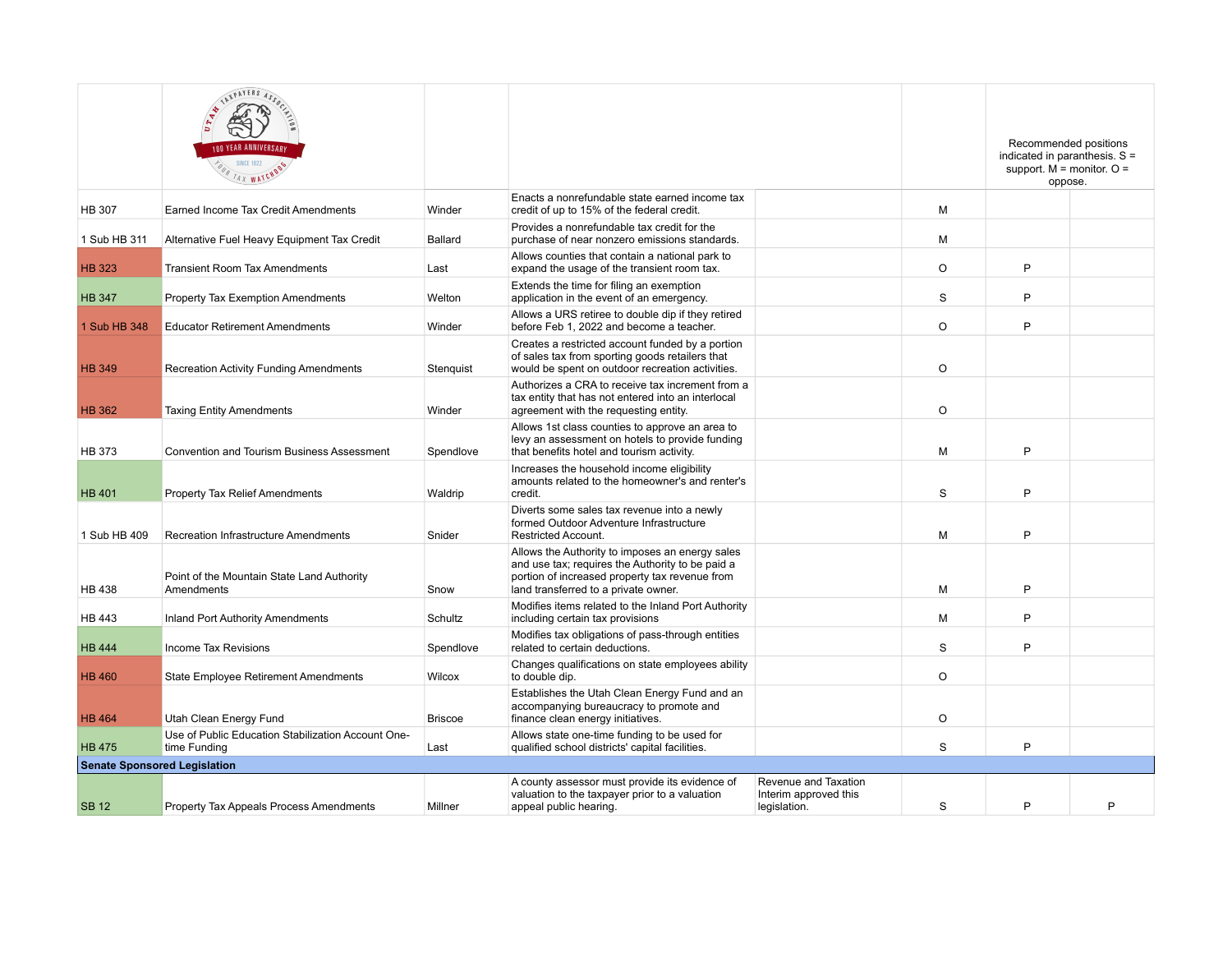|                                     | ATINTERS ASSOC<br><b>IND YEAR ANNIVERSARY</b><br><b>SINCE 1922</b><br>FOUR TAX WATCHOOD |                |                                                                                                                                                                                               |                                                               |         | Recommended positions<br>indicated in paranthesis. S =<br>support. $M =$ monitor. $O =$<br>oppose. |   |
|-------------------------------------|-----------------------------------------------------------------------------------------|----------------|-----------------------------------------------------------------------------------------------------------------------------------------------------------------------------------------------|---------------------------------------------------------------|---------|----------------------------------------------------------------------------------------------------|---|
| <b>HB 307</b>                       | Earned Income Tax Credit Amendments                                                     | Winder         | Enacts a nonrefundable state earned income tax<br>credit of up to 15% of the federal credit.                                                                                                  |                                                               | M       |                                                                                                    |   |
| 1 Sub HB 311                        | Alternative Fuel Heavy Equipment Tax Credit                                             | Ballard        | Provides a nonrefundable tax credit for the<br>purchase of near nonzero emissions standards.                                                                                                  |                                                               | M       |                                                                                                    |   |
| <b>HB 323</b>                       | <b>Transient Room Tax Amendments</b>                                                    | Last           | Allows counties that contain a national park to<br>expand the usage of the transient room tax.                                                                                                |                                                               | O       | P                                                                                                  |   |
| <b>HB 347</b>                       | Property Tax Exemption Amendments                                                       | Welton         | Extends the time for filing an exemption<br>application in the event of an emergency.                                                                                                         |                                                               | S       | P                                                                                                  |   |
| 1 Sub HB 348                        | <b>Educator Retirement Amendments</b>                                                   | Winder         | Allows a URS retiree to double dip if they retired<br>before Feb 1, 2022 and become a teacher.                                                                                                |                                                               | O       | P                                                                                                  |   |
| <b>HB 349</b>                       | <b>Recreation Activity Funding Amendments</b>                                           | Stenguist      | Creates a restricted account funded by a portion<br>of sales tax from sporting goods retailers that<br>would be spent on outdoor recreation activities.                                       |                                                               | $\circ$ |                                                                                                    |   |
| <b>HB 362</b>                       | <b>Taxing Entity Amendments</b>                                                         | Winder         | Authorizes a CRA to receive tax increment from a<br>tax entity that has not entered into an interlocal<br>agreement with the requesting entity.                                               |                                                               | $\circ$ |                                                                                                    |   |
| <b>HB 373</b>                       | <b>Convention and Tourism Business Assessment</b>                                       | Spendlove      | Allows 1st class counties to approve an area to<br>levy an assessment on hotels to provide funding<br>that benefits hotel and tourism activity.                                               |                                                               | M       | P                                                                                                  |   |
| <b>HB 401</b>                       | <b>Property Tax Relief Amendments</b>                                                   | Waldrip        | Increases the household income eligibility<br>amounts related to the homeowner's and renter's<br>credit.                                                                                      |                                                               | S       | P                                                                                                  |   |
| 1 Sub HB 409                        | Recreation Infrastructure Amendments                                                    | Snider         | Diverts some sales tax revenue into a newly<br>formed Outdoor Adventure Infrastructure<br><b>Restricted Account.</b>                                                                          |                                                               | M       | P                                                                                                  |   |
| <b>HB 438</b>                       | Point of the Mountain State Land Authority<br>Amendments                                | Snow           | Allows the Authority to imposes an energy sales<br>and use tax; requires the Authority to be paid a<br>portion of increased property tax revenue from<br>land transferred to a private owner. |                                                               | M       | P                                                                                                  |   |
| <b>HB 443</b>                       | <b>Inland Port Authority Amendments</b>                                                 | Schultz        | Modifies items related to the Inland Port Authority<br>including certain tax provisions                                                                                                       |                                                               | М       | P                                                                                                  |   |
| <b>HB 444</b>                       | Income Tax Revisions                                                                    | Spendlove      | Modifies tax obligations of pass-through entities<br>related to certain deductions.                                                                                                           |                                                               | S       | P                                                                                                  |   |
| <b>HB 460</b>                       | <b>State Employee Retirement Amendments</b>                                             | Wilcox         | Changes qualifications on state employees ability<br>to double dip.                                                                                                                           |                                                               | $\circ$ |                                                                                                    |   |
| <b>HB 464</b>                       | Utah Clean Energy Fund                                                                  | <b>Briscoe</b> | Establishes the Utah Clean Energy Fund and an<br>accompanying bureaucracy to promote and<br>finance clean energy initiatives.                                                                 |                                                               | $\circ$ |                                                                                                    |   |
| <b>HB 475</b>                       | Use of Public Education Stabilization Account One-<br>time Funding                      | Last           | Allows state one-time funding to be used for<br>qualified school districts' capital facilities.                                                                                               |                                                               | S       | P                                                                                                  |   |
| <b>Senate Sponsored Legislation</b> |                                                                                         |                |                                                                                                                                                                                               |                                                               |         |                                                                                                    |   |
| <b>SB12</b>                         | Property Tax Appeals Process Amendments                                                 | Millner        | A county assessor must provide its evidence of<br>valuation to the taxpayer prior to a valuation<br>appeal public hearing.                                                                    | Revenue and Taxation<br>Interim approved this<br>legislation. | S       | P                                                                                                  | P |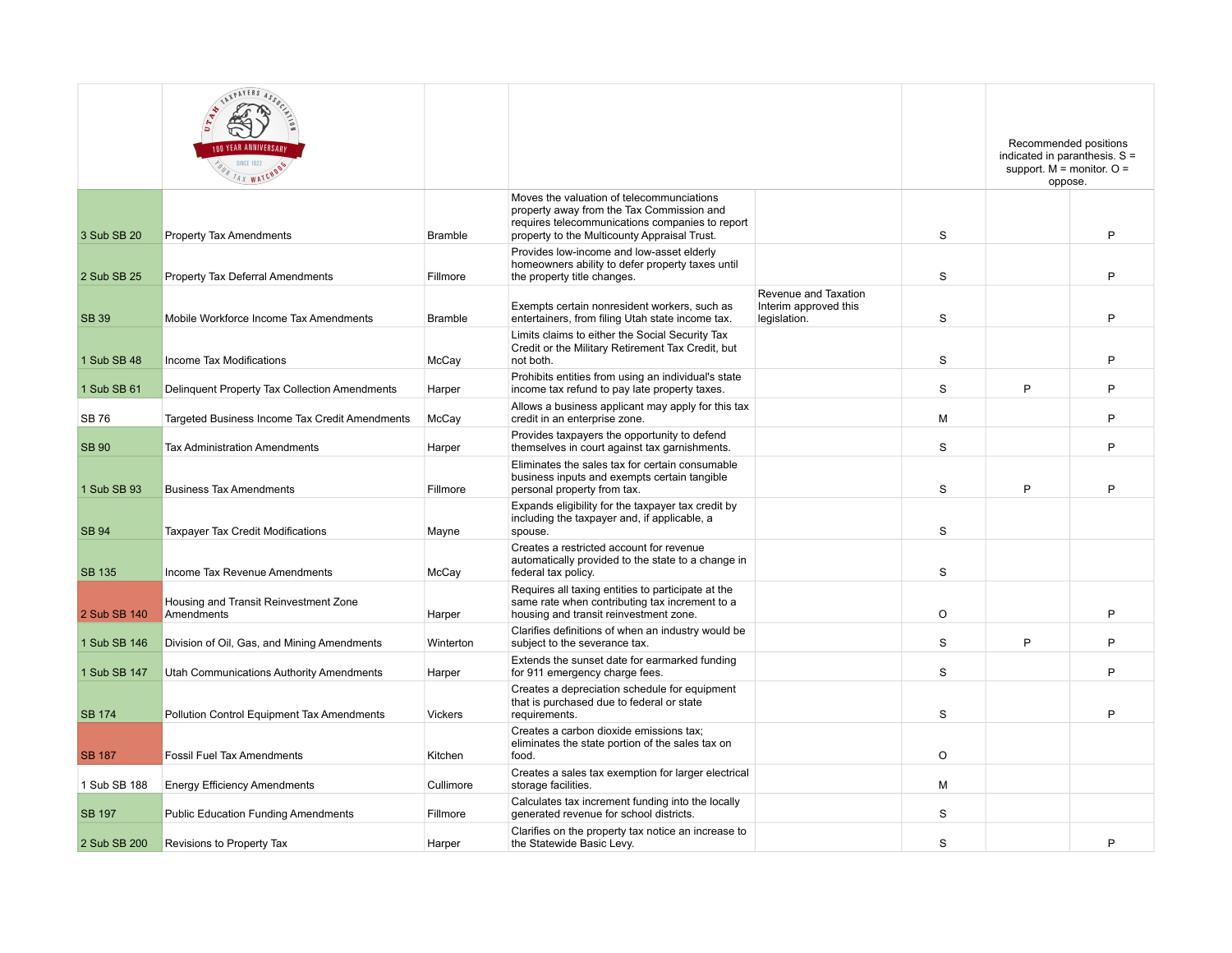|               | ET ALIENLES ASSOCI<br><b>SINCE 1922</b><br>FOUR TAX WATCHOOS |                |                                                                                                                                                                                           |                                                               |             |   | Recommended positions<br>indicated in paranthesis. $S =$<br>support. $M =$ monitor. $O =$<br>oppose. |
|---------------|--------------------------------------------------------------|----------------|-------------------------------------------------------------------------------------------------------------------------------------------------------------------------------------------|---------------------------------------------------------------|-------------|---|------------------------------------------------------------------------------------------------------|
| 3 Sub SB 20   | <b>Property Tax Amendments</b>                               | <b>Bramble</b> | Moves the valuation of telecommunciations<br>property away from the Tax Commission and<br>requires telecommunications companies to report<br>property to the Multicounty Appraisal Trust. |                                                               | S           |   | P                                                                                                    |
| 2 Sub SB 25   | <b>Property Tax Deferral Amendments</b>                      | Fillmore       | Provides low-income and low-asset elderly<br>homeowners ability to defer property taxes until<br>the property title changes.                                                              |                                                               | S           |   | P                                                                                                    |
| <b>SB 39</b>  | Mobile Workforce Income Tax Amendments                       | <b>Bramble</b> | Exempts certain nonresident workers, such as<br>entertainers, from filing Utah state income tax.                                                                                          | Revenue and Taxation<br>Interim approved this<br>legislation. | S           |   | P                                                                                                    |
| 1 Sub SB 48   | Income Tax Modifications                                     | McCay          | Limits claims to either the Social Security Tax<br>Credit or the Military Retirement Tax Credit, but<br>not both.                                                                         |                                                               | S           |   | P                                                                                                    |
| 1 Sub SB 61   | Delinquent Property Tax Collection Amendments                | Harper         | Prohibits entities from using an individual's state<br>income tax refund to pay late property taxes.                                                                                      |                                                               | S           | P | P                                                                                                    |
| <b>SB76</b>   | Targeted Business Income Tax Credit Amendments               | McCay          | Allows a business applicant may apply for this tax<br>credit in an enterprise zone.                                                                                                       |                                                               | М           |   | P                                                                                                    |
| <b>SB 90</b>  | <b>Tax Administration Amendments</b>                         | Harper         | Provides taxpayers the opportunity to defend<br>themselves in court against tax garnishments.                                                                                             |                                                               | S           |   | P                                                                                                    |
| 1 Sub SB 93   | <b>Business Tax Amendments</b>                               | Fillmore       | Eliminates the sales tax for certain consumable<br>business inputs and exempts certain tangible<br>personal property from tax.                                                            |                                                               | S           | P | P                                                                                                    |
| <b>SB 94</b>  | <b>Taxpayer Tax Credit Modifications</b>                     | Mayne          | Expands eligibility for the taxpayer tax credit by<br>including the taxpayer and, if applicable, a<br>spouse.                                                                             |                                                               | S           |   |                                                                                                      |
| <b>SB 135</b> | Income Tax Revenue Amendments                                | McCay          | Creates a restricted account for revenue<br>automatically provided to the state to a change in<br>federal tax policy.                                                                     |                                                               | S           |   |                                                                                                      |
| 2 Sub SB 140  | Housing and Transit Reinvestment Zone<br>Amendments          | Harper         | Requires all taxing entities to participate at the<br>same rate when contributing tax increment to a<br>housing and transit reinvestment zone.                                            |                                                               | $\circ$     |   | P                                                                                                    |
| 1 Sub SB 146  | Division of Oil, Gas, and Mining Amendments                  | Winterton      | Clarifies definitions of when an industry would be<br>subject to the severance tax.                                                                                                       |                                                               | S           | P | P                                                                                                    |
| 1 Sub SB 147  | <b>Utah Communications Authority Amendments</b>              | Harper         | Extends the sunset date for earmarked funding<br>for 911 emergency charge fees.                                                                                                           |                                                               | S           |   | P                                                                                                    |
| <b>SB 174</b> | Pollution Control Equipment Tax Amendments                   | <b>Vickers</b> | Creates a depreciation schedule for equipment<br>that is purchased due to federal or state<br>requirements.                                                                               |                                                               | S           |   | P                                                                                                    |
| <b>SB 187</b> | <b>Fossil Fuel Tax Amendments</b>                            | Kitchen        | Creates a carbon dioxide emissions tax;<br>eliminates the state portion of the sales tax on<br>food.                                                                                      |                                                               | $\circ$     |   |                                                                                                      |
| 1 Sub SB 188  | <b>Energy Efficiency Amendments</b>                          | Cullimore      | Creates a sales tax exemption for larger electrical<br>storage facilities.                                                                                                                |                                                               | M           |   |                                                                                                      |
| <b>SB 197</b> | <b>Public Education Funding Amendments</b>                   | Fillmore       | Calculates tax increment funding into the locally<br>generated revenue for school districts.                                                                                              |                                                               | $\mathbf S$ |   |                                                                                                      |
| 2 Sub SB 200  | Revisions to Property Tax                                    | Harper         | Clarifies on the property tax notice an increase to<br>the Statewide Basic Levy.                                                                                                          |                                                               | S           |   | P                                                                                                    |